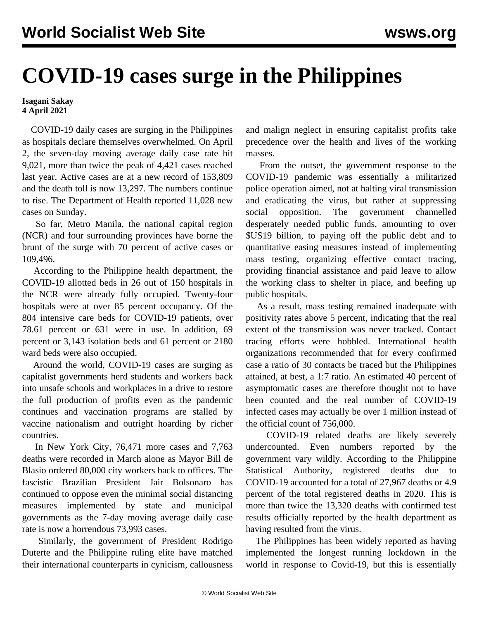## **COVID-19 cases surge in the Philippines**

**Isagani Sakay 4 April 2021**

 COVID-19 daily cases are surging in the Philippines as hospitals declare themselves overwhelmed. On April 2, the seven-day moving average daily case rate hit 9,021, more than twice the peak of 4,421 cases reached last year. Active cases are at a new record of 153,809 and the death toll is now 13,297. The numbers continue to rise. The Department of Health reported 11,028 new cases on Sunday.

 So far, Metro Manila, the national capital region (NCR) and four surrounding provinces have borne the brunt of the surge with 70 percent of active cases or 109,496.

 According to the Philippine health department, the COVID-19 allotted beds in 26 out of 150 hospitals in the NCR were already fully occupied. Twenty-four hospitals were at over 85 percent occupancy. Of the 804 intensive care beds for COVID-19 patients, over 78.61 percent or 631 were in use. In addition, 69 percent or 3,143 isolation beds and 61 percent or 2180 ward beds were also occupied.

 Around the world, COVID-19 cases are surging as capitalist governments herd students and workers back into unsafe schools and workplaces in a drive to restore the full production of profits even as the pandemic continues and vaccination programs are stalled by vaccine nationalism and outright hoarding by richer countries.

 In New York City, 76,471 more cases and 7,763 deaths were recorded in March alone as Mayor Bill de Blasio ordered 80,000 city workers back to offices. The fascistic Brazilian President Jair Bolsonaro has continued to oppose even the minimal social distancing measures implemented by state and municipal governments as the 7-day moving average daily case rate is now a horrendous 73,993 cases.

 Similarly, the government of President Rodrigo Duterte and the Philippine ruling elite have matched their international counterparts in cynicism, callousness and malign neglect in ensuring capitalist profits take precedence over the health and lives of the working masses.

 From the outset, the government response to the COVID-19 pandemic was essentially a militarized police operation aimed, not at halting viral transmission and eradicating the virus, but rather at suppressing social opposition. The government channelled desperately needed public funds, amounting to over \$US19 billion, to paying off the public debt and to quantitative easing measures instead of implementing mass testing, organizing effective contact tracing, providing financial assistance and paid leave to allow the working class to shelter in place, and beefing up public hospitals.

 As a result, mass testing remained inadequate with positivity rates above 5 percent, indicating that the real extent of the transmission was never tracked. Contact tracing efforts were hobbled. International health organizations recommended that for every confirmed case a ratio of 30 contacts be traced but the Philippines attained, at best, a 1:7 ratio. An estimated 40 percent of asymptomatic cases are therefore thought not to have been counted and the real number of COVID-19 infected cases may actually be over 1 million instead of the official count of 756,000.

 COVID-19 related deaths are likely severely undercounted. Even numbers reported by the government vary wildly. According to the Philippine Statistical Authority, registered deaths due to COVID-19 accounted for a total of 27,967 deaths or 4.9 percent of the total registered deaths in 2020. This is more than twice the 13,320 deaths with confirmed test results officially reported by the health department as having resulted from the virus.

 The Philippines has been widely reported as having implemented the longest running lockdown in the world in response to Covid-19, but this is essentially